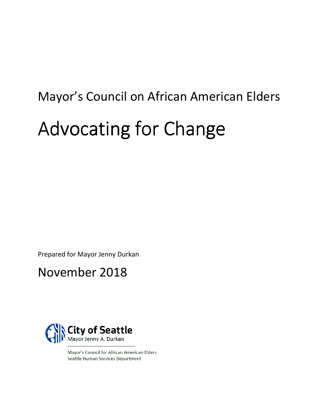# Mayor's Council on African American Elders Advocating for Change

Prepared for Mayor Jenny Durkan

# November 2018



Mayor's Council for African American Elders **Seattle Human Services Department**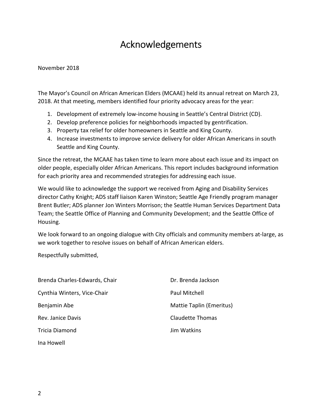## Acknowledgements

#### November 2018

The Mayor's Council on African American Elders (MCAAE) held its annual retreat on March 23, 2018. At that meeting, members identified four priority advocacy areas for the year:

- 1. Development of extremely low-income housing in Seattle's Central District (CD).
- 2. Develop preference policies for neighborhoods impacted by gentrification.
- 3. Property tax relief for older homeowners in Seattle and King County.
- 4. Increase investments to improve service delivery for older African Americans in south Seattle and King County.

Since the retreat, the MCAAE has taken time to learn more about each issue and its impact on older people, especially older African Americans. This report includes background information for each priority area and recommended strategies for addressing each issue.

We would like to acknowledge the support we received from Aging and Disability Services director Cathy Knight; ADS staff liaison Karen Winston; Seattle Age Friendly program manager Brent Butler; ADS planner Jon Winters Morrison; the Seattle Human Services Department Data Team; the Seattle Office of Planning and Community Development; and the Seattle Office of Housing.

We look forward to an ongoing dialogue with City officials and community members at-large, as we work together to resolve issues on behalf of African American elders.

Respectfully submitted,

| Brenda Charles-Edwards, Chair | Dr. Brenda Jackson       |
|-------------------------------|--------------------------|
| Cynthia Winters, Vice-Chair   | Paul Mitchell            |
| Benjamin Abe                  | Mattie Taplin (Emeritus) |
| Rev. Janice Davis             | <b>Claudette Thomas</b>  |
| Tricia Diamond                | Jim Watkins              |
| Ina Howell                    |                          |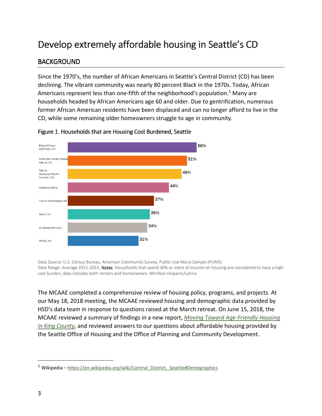## Develop extremely affordable housing in Seattle's CD

#### **BACKGROUND**

Since the 1970's, the number of African Americans in Seattle's Central District (CD) has been declining. The vibrant community was nearly 80 percent Black in the 1970s. Today, African Americans represent less than one-fifth of the neighborhood's population.<sup>1</sup> Many are households headed by African Americans age 60 and older. Due to gentrification, numerous former African American residents have been displaced and can no longer afford to live in the CD, while some remaining older homeowners struggle to age in community.



#### Figure 1. Households that are Housing Cost Burdened, Seattle

Data Source: U.S. Census Bureau, American Community Survey, Public Use Micro Sample (PUMS) Date Range: Average 2011-2015. Notes: Households that spend 30% or more of income on housing are considered to have a high cost burden; data includes both renters and homeowners. NH=Non-Hispanic/Latino

The MCAAE completed a comprehensive review of housing policy, programs, and projects. At our May 18, 2018 meeting, the MCAAE reviewed housing and demographic data provided by HSD's data team in response to questions raised at the March retreat. On June 15, 2018, the MCAAE reviewed a summary of findings in a new report, Moving Toward Age-Friendly Housing in King County, and reviewed answers to our questions about affordable housing provided by the Seattle Office of Housing and the Office of Planning and Community Development.

j

<sup>&</sup>lt;sup>1</sup> Wikipedia - https://en.wikipedia.org/wiki/Central\_District,\_Seattle#Demographics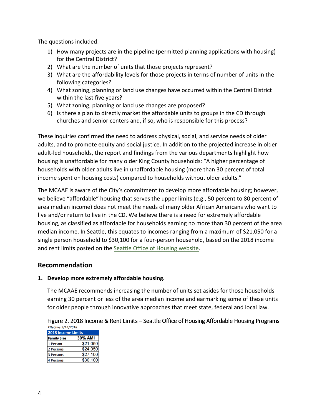The questions included:

- 1) How many projects are in the pipeline (permitted planning applications with housing) for the Central District?
- 2) What are the number of units that those projects represent?
- 3) What are the affordability levels for those projects in terms of number of units in the following categories?
- 4) What zoning, planning or land use changes have occurred within the Central District within the last five years?
- 5) What zoning, planning or land use changes are proposed?
- 6) Is there a plan to directly market the affordable units to groups in the CD through churches and senior centers and, if so, who is responsible for this process?

These inquiries confirmed the need to address physical, social, and service needs of older adults, and to promote equity and social justice. In addition to the projected increase in older adult-led households, the report and findings from the various departments highlight how housing is unaffordable for many older King County households: "A higher percentage of households with older adults live in unaffordable housing (more than 30 percent of total income spent on housing costs) compared to households without older adults."

The MCAAE is aware of the City's commitment to develop more affordable housing; however, we believe "affordable" housing that serves the upper limits (e.g., 50 percent to 80 percent of area median income) does not meet the needs of many older African Americans who want to live and/or return to live in the CD. We believe there is a need for extremely affordable housing, as classified as affordable for households earning no more than 30 percent of the area median income. In Seattle, this equates to incomes ranging from a maximum of \$21,050 for a single person household to \$30,100 for a four-person household, based on the 2018 income and rent limits posted on the Seattle Office of Housing website.

#### Recommendation

#### 1. Develop more extremely affordable housing.

The MCAAE recommends increasing the number of units set asides for those households earning 30 percent or less of the area median income and earmarking some of these units for older people through innovative approaches that meet state, federal and local law.

Figure 2. 2018 Income & Rent Limits – Seattle Office of Housing Affordable Housing Programs Effective 5/14/2018

| <b>2018 Income Limits</b> |                |
|---------------------------|----------------|
| <b>Family Size</b>        | <b>30% AMI</b> |
| 1 Person                  | \$21,050       |
| 2 Persons                 | \$24,050       |
| <b>3 Persons</b>          | \$27,100       |
| <b>4 Persons</b>          | \$30,100       |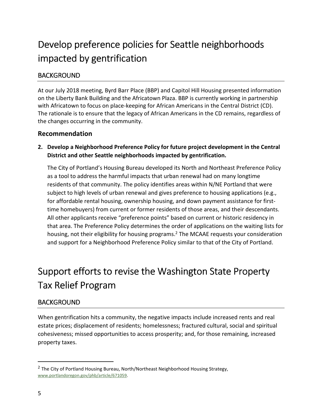# Develop preference policies for Seattle neighborhoods impacted by gentrification

#### **BACKGROUND**

At our July 2018 meeting, Byrd Barr Place (BBP) and Capitol Hill Housing presented information on the Liberty Bank Building and the Africatown Plaza. BBP is currently working in partnership with Africatown to focus on place-keeping for African Americans in the Central District (CD). The rationale is to ensure that the legacy of African Americans in the CD remains, regardless of the changes occurring in the community.

#### Recommendation

2. Develop a Neighborhood Preference Policy for future project development in the Central District and other Seattle neighborhoods impacted by gentrification.

The City of Portland's Housing Bureau developed its North and Northeast Preference Policy as a tool to address the harmful impacts that urban renewal had on many longtime residents of that community. The policy identifies areas within N/NE Portland that were subject to high levels of urban renewal and gives preference to housing applications (e.g., for affordable rental housing, ownership housing, and down payment assistance for firsttime homebuyers) from current or former residents of those areas, and their descendants. All other applicants receive "preference points" based on current or historic residency in that area. The Preference Policy determines the order of applications on the waiting lists for housing, not their eligibility for housing programs.<sup>2</sup> The MCAAE requests your consideration and support for a Neighborhood Preference Policy similar to that of the City of Portland.

# Support efforts to revise the Washington State Property Tax Relief Program

#### **BACKGROUND**

When gentrification hits a community, the negative impacts include increased rents and real estate prices; displacement of residents; homelessness; fractured cultural, social and spiritual cohesiveness; missed opportunities to access prosperity; and, for those remaining, increased property taxes.

l

<sup>&</sup>lt;sup>2</sup> The City of Portland Housing Bureau, North/Northeast Neighborhood Housing Strategy, www.portlandoregon.gov/phb/article/671059.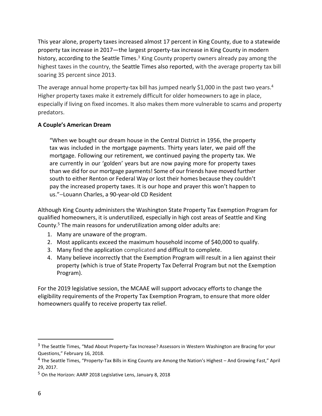This year alone, property taxes increased almost 17 percent in King County, due to a statewide property tax increase in 2017—the largest property-tax increase in King County in modern history, according to the Seattle Times. $3$  King County property owners already pay among the highest taxes in the country, the Seattle Times also reported, with the average property tax bill soaring 35 percent since 2013.

The average annual home property-tax bill has jumped nearly \$1,000 in the past two years.<sup>4</sup> Higher property taxes make it extremely difficult for older homeowners to age in place, especially if living on fixed incomes. It also makes them more vulnerable to scams and property predators.

#### A Couple's American Dream

"When we bought our dream house in the Central District in 1956, the property tax was included in the mortgage payments. Thirty years later, we paid off the mortgage. Following our retirement, we continued paying the property tax. We are currently in our 'golden' years but are now paying more for property taxes than we did for our mortgage payments! Some of our friends have moved further south to either Renton or Federal Way or lost their homes because they couldn't pay the increased property taxes. It is our hope and prayer this won't happen to us."−Louann Charles, a 90-year-old CD Resident

Although King County administers the Washington State Property Tax Exemption Program for qualified homeowners, it is underutilized, especially in high cost areas of Seattle and King County.<sup>5</sup> The main reasons for underutilization among older adults are:

- 1. Many are unaware of the program.
- 2. Most applicants exceed the maximum household income of \$40,000 to qualify.
- 3. Many find the application complicated and difficult to complete.
- 4. Many believe incorrectly that the Exemption Program will result in a lien against their property (which is true of State Property Tax Deferral Program but not the Exemption Program).

For the 2019 legislative session, the MCAAE will support advocacy efforts to change the eligibility requirements of the Property Tax Exemption Program, to ensure that more older homeowners qualify to receive property tax relief.

j

<sup>&</sup>lt;sup>3</sup> The Seattle Times, "Mad About Property-Tax Increase? Assessors in Western Washington are Bracing for your Questions," February 16, 2018.

<sup>&</sup>lt;sup>4</sup> The Seattle Times, "Property-Tax Bills in King County are Among the Nation's Highest – And Growing Fast," April 29, 2017.

<sup>5</sup> On the Horizon: AARP 2018 Legislative Lens, January 8, 2018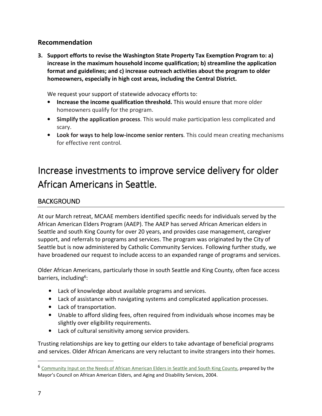#### Recommendation

3. Support efforts to revise the Washington State Property Tax Exemption Program to: a) increase in the maximum household income qualification; b) streamline the application format and guidelines; and c) increase outreach activities about the program to older homeowners, especially in high cost areas, including the Central District.

We request your support of statewide advocacy efforts to:

- Increase the income qualification threshold. This would ensure that more older homeowners qualify for the program.
- Simplify the application process. This would make participation less complicated and scary.
- Look for ways to help low-income senior renters. This could mean creating mechanisms for effective rent control.

## Increase investments to improve service delivery for older African Americans in Seattle.

#### **BACKGROUND**

At our March retreat, MCAAE members identified specific needs for individuals served by the African American Elders Program (AAEP). The AAEP has served African American elders in Seattle and south King County for over 20 years, and provides case management, caregiver support, and referrals to programs and services. The program was originated by the City of Seattle but is now administered by Catholic Community Services. Following further study, we have broadened our request to include access to an expanded range of programs and services.

Older African Americans, particularly those in south Seattle and King County, often face access barriers, including<sup>6</sup>:

- Lack of knowledge about available programs and services.
- Lack of assistance with navigating systems and complicated application processes.
- Lack of transportation.
- Unable to afford sliding fees, often required from individuals whose incomes may be slightly over eligibility requirements.
- Lack of cultural sensitivity among service providers.

Trusting relationships are key to getting our elders to take advantage of beneficial programs and services. Older African Americans are very reluctant to invite strangers into their homes.

l

<sup>6</sup> Community Input on the Needs of African American Elders in Seattle and South King County, prepared by the Mayor's Council on African American Elders, and Aging and Disability Services, 2004.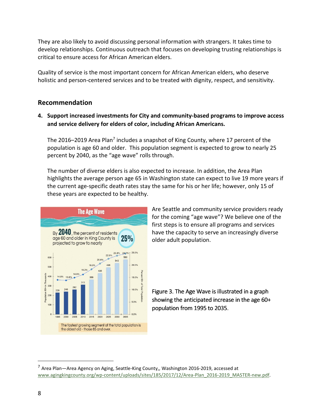They are also likely to avoid discussing personal information with strangers. It takes time to develop relationships. Continuous outreach that focuses on developing trusting relationships is critical to ensure access for African American elders.

Quality of service is the most important concern for African American elders, who deserve holistic and person-centered services and to be treated with dignity, respect, and sensitivity.

#### Recommendation

4. Support increased investments for City and community-based programs to improve access and service delivery for elders of color, including African Americans.

The 2016–2019 Area Plan<sup>7</sup> includes a snapshot of King County, where 17 percent of the population is age 60 and older. This population segment is expected to grow to nearly 25 percent by 2040, as the "age wave" rolls through.

The number of diverse elders is also expected to increase. In addition, the Area Plan highlights the average person age 65 in Washington state can expect to live 19 more years if the current age-specific death rates stay the same for his or her life; however, only 15 of these years are expected to be healthy.



Are Seattle and community service providers ready for the coming "age wave"? We believe one of the first steps is to ensure all programs and services have the capacity to serve an increasingly diverse older adult population.

Figure 3. The Age Wave is illustrated in a graph showing the anticipated increase in the age 60+ population from 1995 to 2035.

 $\overline{a}$ 

<sup>7</sup> Area Plan—Area Agency on Aging, Seattle-King County,, Washington 2016-2019, accessed at www.agingkingcounty.org/wp-content/uploads/sites/185/2017/12/Area-Plan\_2016-2019\_MASTER-new.pdf.